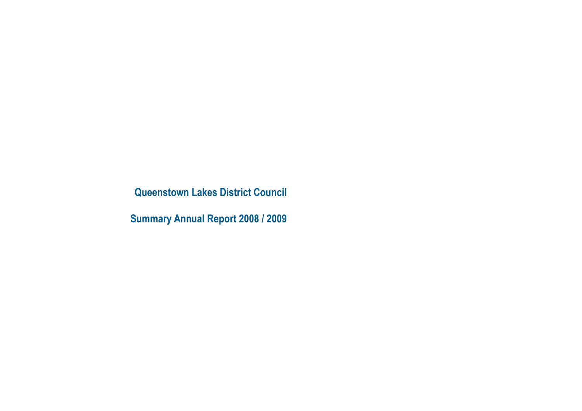**Queenstown Lakes District Council**

**Summary Annual Report 2008 / 2009**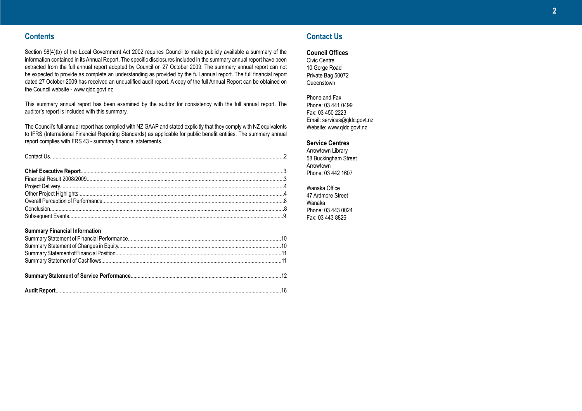# **Contents**

Section 98(4)(b) of the Local Government Act 2002 requires Council to make publicly available a summary of the information contained in its Annual Report. The specific disclosures included in the summary annual report have been extracted from the full annual report adopted by Council on 27 October 2009. The summary annual report can not be expected to provide as complete an understanding as provided by the full annual report. The full financial report dated 27 October 2009 has received an unqualified audit report. A copy of the full Annual Report can be obtained on the Council website - www.qldc.govt.nz

This summary annual report has been examined by the auditor for consistency with the full annual report. The auditor's report is included with this summary.

The Council's full annual report has complied with NZ GAAP and stated explicitly that they comply with NZ equivalents to IFRS (International Financial Reporting Standards) as applicable for public benefit entities. The summary annual report complies with FRS 43 - summary financial statements.

#### **Summary Financial Information**

# **Contact Us**

**Council Offices**

Civic Centre 10 Gorge Road Private Bag 50072 Queenstown

Phone and Fax Phone: 03 441 0499 Fax: 03 450 2223 Email: services@qldc.govt.nz Website: www.qldc.govt.nz

#### **Service Centres**

Arrowtown Library 58 Buckingham Street Arrowtown Phone: 03 442 1607

Wanaka Office 47 Ardmore Street Wanaka Phone: 03 443 0024 Fax: 03 443 8826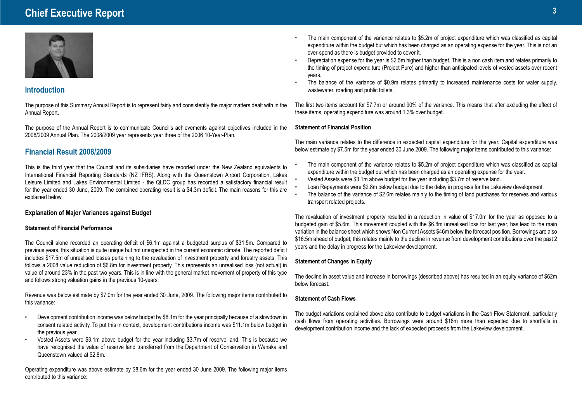# **Chief Executive Report <sup>3</sup>**



# **Introduction**

The purpose of this Summary Annual Report is to represent fairly and consistently the major matters dealt with in the Annual Report.

The purpose of the Annual Report is to communicate Council's achievements against objectives included in the 2008/2009 Annual Plan. The 2008/2009 year represents year three of the 2006 10-Year-Plan.

# **Financial Result 2008/2009**

This is the third year that the Council and its subsidiaries have reported under the New Zealand equivalents to International Financial Reporting Standards (NZ IFRS). Along with the Queenstown Airport Corporation, Lakes Leisure Limited and Lakes Environmental Limited - the QLDC group has recorded a satisfactory financial result for the year ended 30 June, 2009. The combined operating result is a \$4.3m deficit. The main reasons for this are explained below.

## **Explanation of Major Variances against Budget**

#### **Statement of Financial Performance**

The Council alone recorded an operating deficit of \$6.1m against a budgeted surplus of \$31.5m. Compared to previous years, this situation is quite unique but not unexpected in the current economic climate. The reported deficit includes \$17.5m of unrealised losses pertaining to the revaluation of investment property and forestry assets. This follows a 2008 value reduction of \$6.8m for investment property. This represents an unrealised loss (not actual) in value of around 23% in the past two years. This is in line with the general market movement of property of this type and follows strong valuation gains in the previous 10-years.

Revenue was below estimate by \$7.0m for the year ended 30 June, 2009. The following major items contributed to this variance:

- Development contribution income was below budget by \$8.1m for the year principally because of a slowdown in consent related activity. To put this in context, development contributions income was \$11.1m below budget in the previous year.
- Vested Assets were \$3.1m above budget for the year including \$3.7m of reserve land. This is because we have recognised the value of reserve land transferred from the Department of Conservation in Wanaka and Queenstown valued at \$2.8m.

Operating expenditure was above estimate by \$8.6m for the year ended 30 June 2009. The following major items contributed to this variance:

- The main component of the variance relates to \$5.2m of project expenditure which was classified as capital expenditure within the budget but which has been charged as an operating expense for the year. This is not an over-spend as there is budget provided to cover it.
- Depreciation expense for the year is \$2.5m higher than budget. This is a non cash item and relates primarily to the timing of project expenditure (Project Pure) and higher than anticipated levels of vested assets over recent years.
- The balance of the variance of \$0.9m relates primarily to increased maintenance costs for water supply, wastewater, roading and public toilets.

The first two items account for \$7.7m or around 90% of the variance. This means that after excluding the effect of these items, operating expenditure was around 1.3% over budget.

#### **Statement of Financial Position**

The main variance relates to the difference in expected capital expenditure for the year. Capital expenditure was below estimate by \$7.5m for the year ended 30 June 2009. The following major items contributed to this variance:

- The main component of the variance relates to \$5.2m of project expenditure which was classified as capital expenditure within the budget but which has been charged as an operating expense for the year.
- Vested Assets were \$3.1m above budget for the year including \$3.7m of reserve land.
- Loan Repayments were \$2.8m below budget due to the delay in progress for the Lakeview development.
- The balance of the variance of \$2.6m relates mainly to the timing of land purchases for reserves and various transport related projects.

The revaluation of investment property resulted in a reduction in value of \$17.0m for the year as opposed to a budgeted gain of \$5.6m. This movement coupled with the \$6.8m unrealised loss for last year, has lead to the main variation in the balance sheet which shows Non Current Assets \$46m below the forecast position. Borrowings are also \$16.5m ahead of budget; this relates mainly to the decline in revenue from development contributions over the past 2 years and the delay in progress for the Lakeview development.

## **Statement of Changes in Equity**

The decline in asset value and increase in borrowings (described above) has resulted in an equity variance of \$62m below forecast.

## **Statement of Cash Flows**

The budget variations explained above also contribute to budget variations in the Cash Flow Statement, particularly cash flows from operating activities. Borrowings were around \$18m more than expected due to shortfalls in development contribution income and the lack of expected proceeds from the Lakeview development.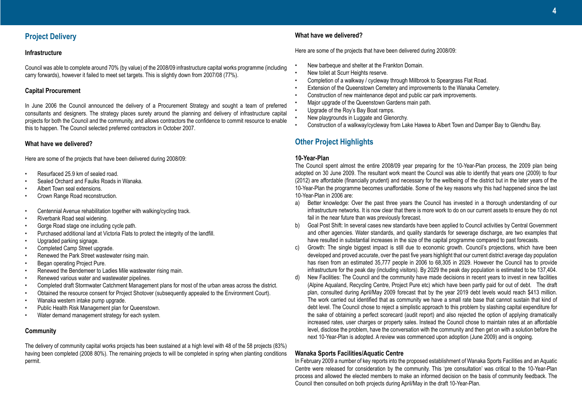# **Project Delivery**

### **Infrastructure**

Council was able to complete around 70% (by value) of the 2008/09 infrastructure capital works programme (including carry forwards), however it failed to meet set targets. This is slightly down from 2007/08 (77%).

#### **Capital Procurement**

In June 2006 the Council announced the delivery of a Procurement Strategy and sought a team of preferred consultants and designers. The strategy places surety around the planning and delivery of infrastructure capital projects for both the Council and the community, and allows contractors the confidence to commit resource to enable this to happen. The Council selected preferred contractors in October 2007.

### **What have we delivered?**

Here are some of the projects that have been delivered during 2008/09:

- Resurfaced 25.9 km of sealed road.
- Sealed Orchard and Faulks Roads in Wanaka.
- Albert Town seal extensions.
- Crown Range Road reconstruction.
- Centennial Avenue rehabilitation together with walking/cycling track.
- Riverbank Road seal widening.
- Gorge Road stage one including cycle path.
- Purchased additional land at Victoria Flats to protect the integrity of the landfill.
- Upgraded parking signage.
- Completed Camp Street upgrade.
- Renewed the Park Street wastewater rising main.
- Began operating Project Pure.
- Renewed the Bendemeer to Ladies Mile wastewater rising main.
- Renewed various water and wastewater pipelines.
- Completed draft Stormwater Catchment Management plans for most of the urban areas across the district.
- Obtained the resource consent for Project Shotover (subsequently appealed to the Environment Court).
- Wanaka western intake pump upgrade.
- Public Health Risk Management plan for Queenstown.
- Water demand management strategy for each system.

## **Community**

The delivery of community capital works projects has been sustained at a high level with 48 of the 58 projects (83%) having been completed (2008 80%). The remaining projects to will be completed in spring when planting conditions permit.

#### **What have we delivered?**

Here are some of the projects that have been delivered during 2008/09:

- New barbeque and shelter at the Frankton Domain.
- New toilet at Scurr Heights reserve.
- Completion of a walkway / cycleway through Millbrook to Speargrass Flat Road.
- Extension of the Queenstown Cemetery and improvements to the Wanaka Cemetery.
- Construction of new maintenance depot and public car park improvements.
- Major upgrade of the Queenstown Gardens main path.
- Upgrade of the Roy's Bay Boat ramps.
- New playgrounds in Luggate and Glenorchy.
- Construction of a walkway/cycleway from Lake Hawea to Albert Town and Damper Bay to Glendhu Bay.

# **Other Project Highlights**

### **10-Year-Plan**

The Council spent almost the entire 2008/09 year preparing for the 10-Year-Plan process, the 2009 plan being adopted on 30 June 2009. The resultant work meant the Council was able to identify that years one (2009) to four (2012) are affordable (financially prudent) and necessary for the wellbeing of the district but in the later years of the 10-Year-Plan the programme becomes unaffordable. Some of the key reasons why this had happened since the last 10-Year-Plan in 2006 are:

- a) Better knowledge: Over the past three years the Council has invested in a thorough understanding of our infrastructure networks. It is now clear that there is more work to do on our current assets to ensure they do not fail in the near future than was previously forecast.
- b) Goal Post Shift: In several cases new standards have been applied to Council activities by Central Government and other agencies. Water standards, and quality standards for sewerage discharge, are two examples that have resulted in substantial increases in the size of the capital programme compared to past forecasts.
- c) Growth: The single biggest impact is still due to economic growth. Council's projections, which have been developed and proved accurate, over the past five years highlight that our current district average day population has risen from an estimated 35,777 people in 2006 to 68,305 in 2029. However the Council has to provide infrastructure for the peak day (including visitors). By 2029 the peak day population is estimated to be 137,404.
- d) New Facilities: The Council and the community have made decisions in recent years to invest in new facilities (Alpine Aqualand, Recycling Centre, Project Pure etc) which have been partly paid for out of debt. The draft plan, consulted during April/May 2009 forecast that by the year 2019 debt levels would reach \$413 million. The work carried out identified that as community we have a small rate base that cannot sustain that kind of debt level. The Council chose to reject a simplistic approach to this problem by slashing capital expenditure for the sake of obtaining a perfect scorecard (audit report) and also rejected the option of applying dramatically increased rates, user charges or property sales. Instead the Council chose to maintain rates at an affordable level, disclose the problem, have the conversation with the community and then get on with a solution before the next 10-Year-Plan is adopted. A review was commenced upon adoption (June 2009) and is ongoing.

## **Wanaka Sports Facilities/Aquatic Centre**

In February 2009 a number of key reports into the proposed establishment of Wanaka Sports Facilities and an Aquatic Centre were released for consideration by the community. This 'pre consultation' was critical to the 10-Year-Plan process and allowed the elected members to make an informed decision on the basis of community feedback. The Council then consulted on both projects during April/May in the draft 10-Year-Plan.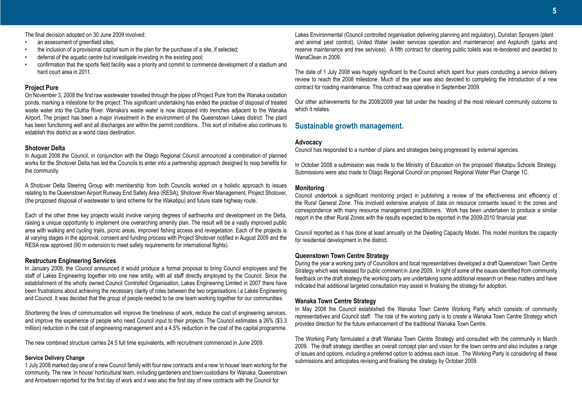The final decision adopted on 30 June 2009 involved:

- an assessment of greenfield sites:
- the inclusion of a provisional capital sum in the plan for the purchase of a site, if selected;
- deferral of the aquatic centre but investigate investing in the existing pool;
- confirmation that the sports field facility was a priority and commit to commence development of a stadium and hard court area in 2011.

### **Project Pure**

On November 3, 2008 the first raw wastewater travelled through the pipes of Project Pure from the Wanaka oxidation ponds, marking a milestone for the project. This significant undertaking has ended the practise of disposal of treated waste water into the Clutha River. Wanaka's waste water is now disposed into trenches adjacent to the Wanaka Airport. The project has been a major investment in the environment of the Queenstown Lakes district. The plant has been functioning well and all discharges are within the permit conditions. This sort of initiative also continues to establish this district as a world class destination.

### **Shotover Delta**

In August 2008 the Council, in conjunction with the Otago Regional Council announced a combination of planned works for the Shotover Delta has led the Councils to enter into a partnership approach designed to reap benefits for the community.

A Shotover Delta Steering Group with membership from both Councils worked on a holistic approach to issues relating to the Queenstown Airport Runway End Safety Area (RESA), Shotover River Management, Project Shotover, (the proposed disposal of wastewater to land scheme for the Wakatipu) and future state highway route.

Each of the other three key projects would involve varying degrees of earthworks and development on the Delta, raising a unique opportunity to implement one overarching amenity plan. The result will be a vastly improved public area with walking and cycling trails, picnic areas, improved fishing access and revegetation. Each of the projects is at varying stages in the approval, consent and funding process with Project Shotover notified in August 2009 and the RESA now approved (90 m extension to meet safety requirements for international flights).

## **Restructure Engineering Services**

In January 2009, the Council announced it would produce a formal proposal to bring Council employees and the staff of Lakes Engineering together into one new entity, with all staff directly employed by the Council. Since the establishment of the wholly owned Council Controlled Organisation, Lakes Engineering Limited in 2007 there have been frustrations about achieving the necessary clarity of roles between the two organisations i.e Lakes Engineering and Council. It was decided that the group of people needed to be one team working together for our communities.

Shortening the lines of communication will improve the timeliness of work, reduce the cost of engineering services, and improve the experience of people who need Council input to their projects. The Council estimates a 26% (\$3.3 million) reduction in the cost of engineering management and a 4.5% reduction in the cost of the capital programme.

The new combined structure carries 24.5 full time equivalents, with recruitment commenced in June 2009.

#### **Service Delivery Change**

1 July 2008 marked day one of a new Council family with four new contracts and a new 'in house' team working for the community. The new 'in house' horticultural team, including gardeners and town custodians for Wanaka, Queenstown and Arrowtown reported for the first day of work and it was also the first day of new contracts with the Council for

Lakes Environmental (Council controlled organisation delivering planning and regulatory), Dunstan Sprayers (plant and animal pest control), United Water (water services operation and maintenance) and Asplundh (parks and reserve maintenance and tree services). A fifth contract for cleaning public toilets was re-tendered and awarded to WanaClean in 2009.

The date of 1 July 2008 was hugely significant to the Council which spent four years conducting a service delivery review to reach the 2008 milestone. Much of the year was also devoted to completing the introduction of a new contract for roading maintenance. This contract was operative in September 2009.

Our other achievements for the 2008/2009 year fall under the heading of the most relevant community outcome to which it relates.

# **Sustainable growth management.**

#### **Advocacy**

Council has responded to a number of plans and strategies being progressed by external agencies.

In October 2008 a submission was made to the Ministry of Education on the proposed Wakatipu Schools Strategy. Submissions were also made to Otago Regional Council on proposed Regional Water Plan Change 1C.

## **Monitoring**

Council undertook a significant monitoring project in publishing a review of the effectiveness and efficiency of the Rural General Zone. This involved extensive analysis of data on resource consents issued in the zones and correspondence with many resource management practitioners. Work has been undertaken to produce a similar report in the other Rural Zones with the results expected to be reported in the 2009-2010 financial year.

Council reported as it has done at least annually on the Dwelling Capacity Model. This model monitors the capacity for residential development in the district.

## **Queenstown Town Centre Strategy**

During the year a working party of Councillors and local representatives developed a draft Queenstown Town Centre Strategy which was released for public comment in June 2009. In light of some of the issues identified from community feedback on the draft strategy the working party are undertaking some additional research on these matters and have indicated that additional targeted consultation may assist in finalising the strategy for adoption.

#### **Wanaka Town Centre Strategy**

In May 2008 the Council established the Wanaka Town Centre Working Party which consists of community representatives and Council staff. The role of the working party is to create a Wanaka Town Centre Strategy which provides direction for the future enhancement of the traditional Wanaka Town Centre.

The Working Party formulated a draft Wanaka Town Centre Strategy and consulted with the community in March 2009. The draft strategy identifies an overall concept plan and vision for the town centre and also includes a range of issues and options, including a preferred option to address each issue. The Working Party is considering all these submissions and anticipates revising and finalising the strategy by October 2009.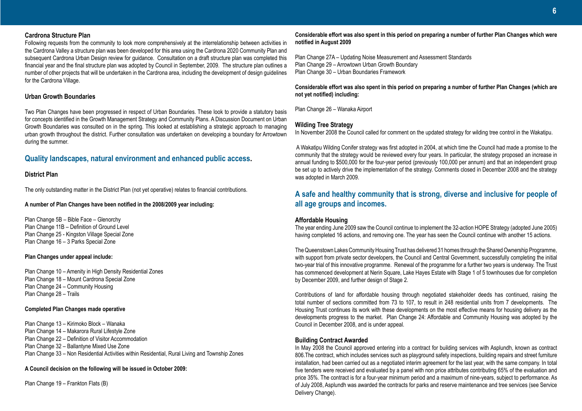#### **Cardrona Structure Plan**

Following requests from the community to look more comprehensively at the interrelationship between activities in the Cardrona Valley a structure plan was been developed for this area using the Cardrona 2020 Community Plan and subsequent Cardrona Urban Design review for guidance. Consultation on a draft structure plan was completed this financial year and the final structure plan was adopted by Council in September, 2009. The structure plan outlines a number of other projects that will be undertaken in the Cardrona area, including the development of design guidelines for the Cardrona Village.

#### **Urban Growth Boundaries**

Two Plan Changes have been progressed in respect of Urban Boundaries. These look to provide a statutory basis for concepts identified in the Growth Management Strategy and Community Plans. A Discussion Document on Urban Growth Boundaries was consulted on in the spring. This looked at establishing a strategic approach to managing urban growth throughout the district. Further consultation was undertaken on developing a boundary for Arrowtown during the summer.

# **Quality landscapes, natural environment and enhanced public access.**

### **District Plan**

The only outstanding matter in the District Plan (not yet operative) relates to financial contributions.

#### **A number of Plan Changes have been notified in the 2008/2009 year including:**

Plan Change 5B – Bible Face – Glenorchy Plan Change 11B – Definition of Ground Level Plan Change 25 - Kingston Village Special Zone Plan Change 16 – 3 Parks Special Zone

#### **Plan Changes under appeal include:**

Plan Change 10 – Amenity in High Density Residential Zones Plan Change 18 – Mount Cardrona Special Zone Plan Change 24 – Community Housing Plan Change 28 – Trails

#### **Completed Plan Changes made operative**

Plan Change 13 – Kirimoko Block – Wanaka Plan Change 14 – Makarora Rural Lifestyle Zone Plan Change 22 – Definition of Visitor Accommodation Plan Change 32 – Ballantyne Mixed Use Zone Plan Change 33 – Non Residential Activities within Residential, Rural Living and Township Zones

**A Council decision on the following will be issued in October 2009:** 

Plan Change 19 – Frankton Flats (B)

#### **Considerable effort was also spent in this period on preparing a number of further Plan Changes which were notified in August 2009**

Plan Change 27A – Updating Noise Measurement and Assessment Standards Plan Change 29 – Arrowtown Urban Growth Boundary Plan Change 30 – Urban Boundaries Framework

#### **Considerable effort was also spent in this period on preparing a number of further Plan Changes (which are not yet notified) including:**

Plan Change 26 – Wanaka Airport

## **Wilding Tree Strategy**

In November 2008 the Council called for comment on the updated strategy for wilding tree control in the Wakatipu.

 A Wakatipu Wilding Conifer strategy was first adopted in 2004, at which time the Council had made a promise to the community that the strategy would be reviewed every four years. In particular, the strategy proposed an increase in annual funding to \$500,000 for the four-year period (previously 100,000 per annum) and that an independent group be set up to actively drive the implementation of the strategy. Comments closed in December 2008 and the strategy was adopted in March 2009.

# **A safe and healthy community that is strong, diverse and inclusive for people of all age groups and incomes.**

#### **Affordable Housing**

The year ending June 2009 saw the Council continue to implement the 32-action HOPE Strategy (adopted June 2005) having completed 16 actions, and removing one. The year has seen the Council continue with another 15 actions.

The Queenstown Lakes Community Housing Trust has delivered 31 homes through the Shared Ownership Programme, with support from private sector developers, the Council and Central Government, successfully completing the initial two-year trial of this innovative programme. Renewal of the programme for a further two years is underway. The Trust has commenced development at Nerin Square, Lake Hayes Estate with Stage 1 of 5 townhouses due for completion by December 2009, and further design of Stage 2.

Contributions of land for affordable housing through negotiated stakeholder deeds has continued, raising the total number of sections committed from 73 to 107, to result in 248 residential units from 7 developments. The Housing Trust continues its work with these developments on the most effective means for housing delivery as the developments progress to the market. Plan Change 24: Affordable and Community Housing was adopted by the Council in December 2008, and is under appeal.

## **Building Contract Awarded**

In May 2008 the Council approved entering into a contract for building services with Asplundh, known as contract 806.The contract, which includes services such as playground safety inspections, building repairs and street furniture installation, had been carried out as a negotiated interim agreement for the last year, with the same company. In total five tenders were received and evaluated by a panel with non price attributes contributing 65% of the evaluation and price 35%. The contract is for a four-year minimum period and a maximum of nine-years, subject to performance. As of July 2008, Asplundh was awarded the contracts for parks and reserve maintenance and tree services (see Service Delivery Change).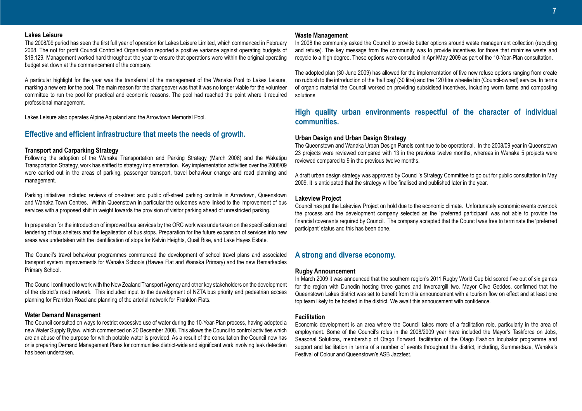#### **Lakes Leisure**

The 2008/09 period has seen the first full year of operation for Lakes Leisure Limited, which commenced in February 2008. The not for profit Council Controlled Organisation reported a positive variance against operating budgets of \$19,129. Management worked hard throughout the year to ensure that operations were within the original operating budget set down at the commencement of the company.

A particular highlight for the year was the transferral of the management of the Wanaka Pool to Lakes Leisure, marking a new era for the pool. The main reason for the changeover was that it was no longer viable for the volunteer committee to run the pool for practical and economic reasons. The pool had reached the point where it required professional management.

Lakes Leisure also operates Alpine Aqualand and the Arrowtown Memorial Pool.

# **Effective and efficient infrastructure that meets the needs of growth.**

#### **Transport and Carparking Strategy**

Following the adoption of the Wanaka Transportation and Parking Strategy (March 2008) and the Wakatipu Transportation Strategy, work has shifted to strategy implementation. Key implementation activities over the 2008/09 were carried out in the areas of parking, passenger transport, travel behaviour change and road planning and management.

Parking initiatives included reviews of on-street and public off-street parking controls in Arrowtown, Queenstown and Wanaka Town Centres. Within Queenstown in particular the outcomes were linked to the improvement of bus services with a proposed shift in weight towards the provision of visitor parking ahead of unrestricted parking.

In preparation for the introduction of improved bus services by the ORC work was undertaken on the specification and tendering of bus shelters and the legalisation of bus stops. Preparation for the future expansion of services into new areas was undertaken with the identification of stops for Kelvin Heights, Quail Rise, and Lake Hayes Estate.

The Council's travel behaviour programmes commenced the development of school travel plans and associated transport system improvements for Wanaka Schools (Hawea Flat and Wanaka Primary) and the new Remarkables Primary School.

The Council continued to work with the New Zealand Transport Agency and other key stakeholders on the development of the district's road network. This included input to the development of NZTA bus priority and pedestrian access planning for Frankton Road and planning of the arterial network for Frankton Flats.

#### **Water Demand Management**

The Council consulted on ways to restrict excessive use of water during the 10-Year-Plan process, having adopted a new Water Supply Bylaw, which commenced on 20 December 2008. This allows the Council to control activities which are an abuse of the purpose for which potable water is provided. As a result of the consultation the Council now has or is preparing Demand Management Plans for communities district-wide and significant work involving leak detection has been undertaken.

#### **Waste Management**

In 2008 the community asked the Council to provide better options around waste management collection (recycling and refuse). The key message from the community was to provide incentives for those that minimise waste and recycle to a high degree. These options were consulted in April/May 2009 as part of the 10-Year-Plan consultation.

The adopted plan (30 June 2009) has allowed for the implementation of five new refuse options ranging from create no rubbish to the introduction of the 'half bag' (30 litre) and the 120 litre wheelie bin (Council-owned) service. In terms of organic material the Council worked on providing subsidised incentives, including worm farms and composting solutions.

# **High quality urban environments respectful of the character of individual communities.**

### **Urban Design and Urban Design Strategy**

The Queenstown and Wanaka Urban Design Panels continue to be operational. In the 2008/09 year in Queenstown 23 projects were reviewed compared with 13 in the previous twelve months, whereas in Wanaka 5 projects were reviewed compared to 9 in the previous twelve months.

A draft urban design strategy was approved by Council's Strategy Committee to go out for public consultation in May 2009. It is anticipated that the strategy will be finalised and published later in the year.

#### **Lakeview Project**

Council has put the Lakeview Project on hold due to the economic climate. Unfortunately economic events overtook the process and the development company selected as the 'preferred participant' was not able to provide the financial covenants required by Council. The company accepted that the Council was free to terminate the 'preferred participant' status and this has been done.

# **A strong and diverse economy.**

#### **Rugby Announcement**

In March 2009 it was announced that the southern region's 2011 Rugby World Cup bid scored five out of six games for the region with Dunedin hosting three games and Invercargill two. Mayor Clive Geddes, confirmed that the Queenstown Lakes district was set to benefit from this announcement with a tourism flow on effect and at least one top team likely to be hosted in the district. We await this annoucement with confidence.

#### **Facilitation**

Economic development is an area where the Council takes more of a facilitation role, particularly in the area of employment. Some of the Council's roles in the 2008/2009 year have included the Mayor's Taskforce on Jobs, Seasonal Solutions, membership of Otago Forward, facilitation of the Otago Fashion Incubator programme and support and facilitation in terms of a number of events throughout the district, including, Summerdaze, Wanaka's Festival of Colour and Queenstown's ASB Jazzfest.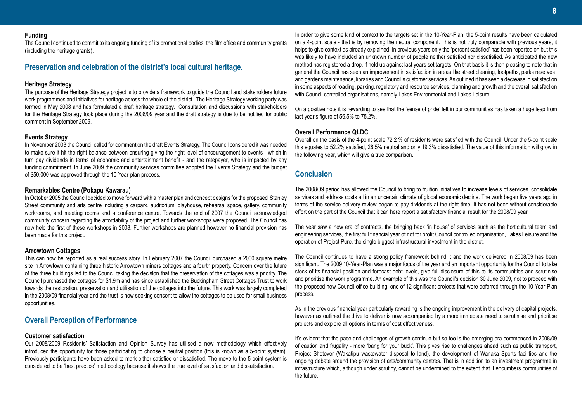### **Funding**

The Council continued to commit to its ongoing funding of its promotional bodies, the film office and community grants (including the heritage grants).

# **Preservation and celebration of the district's local cultural heritage.**

#### **Heritage Strategy**

The purpose of the Heritage Strategy project is to provide a framework to guide the Council and stakeholders future work programmes and initiatives for heritage across the whole of the district. The Heritage Strategy working party was formed in May 2008 and has formulated a draft heritage strategy. Consultation and discussions with stakeholders for the Heritage Strategy took place during the 2008/09 year and the draft strategy is due to be notified for public comment in September 2009.

#### **Events Strategy**

In November 2008 the Council called for comment on the draft Events Strategy. The Council considered it was needed to make sure it hit the right balance between ensuring giving the right level of encouragement to events - which in turn pay dividends in terms of economic and entertainment benefit - and the ratepayer, who is impacted by any funding commitment. In June 2009 the community services committee adopted the Events Strategy and the budget of \$50,000 was approved through the 10-Year-plan process.

## **Remarkables Centre (Pokapu Kawarau)**

In October 2005 the Council decided to move forward with a master plan and concept designs for the proposed Stanley Street community and arts centre including a carpark, auditorium, playhouse, rehearsal space, gallery, community workrooms, and meeting rooms and a conference centre. Towards the end of 2007 the Council acknowledged community concern regarding the affordability of the project and further workshops were proposed. The Council has now held the first of these workshops in 2008. Further workshops are planned however no financial provision has been made for this project.

#### **Arrowtown Cottages**

This can now be reported as a real success story. In February 2007 the Council purchased a 2000 square metre site in Arrowtown containing three historic Arrowtown miners cottages and a fourth property. Concern over the future of the three buildings led to the Council taking the decision that the preservation of the cottages was a priority. The Council purchased the cottages for \$1.9m and has since established the Buckingham Street Cottages Trust to work towards the restoration, preservation and utilisation of the cottages into the future. This work was largely completed in the 2008/09 financial year and the trust is now seeking consent to allow the cottages to be used for small business opportunities.

# **Overall Perception of Performance**

#### **Customer satisfaction**

Our 2008/2009 Residents' Satisfaction and Opinion Survey has utilised a new methodology which effectively introduced the opportunity for those participating to choose a neutral position (this is known as a 5-point system). Previously participants have been asked to mark either satisfied or dissatisfied. The move to the 5-point system is considered to be 'best practice' methodology because it shows the true level of satisfaction and dissatisfaction.

In order to give some kind of context to the targets set in the 10-Year-Plan, the 5-point results have been calculated on a 4-point scale - that is by removing the neutral component. This is not truly comparable with previous years, it helps to give context as already explained. In previous years only the 'percent satisfied' has been reported on but this was likely to have included an unknown number of people neither satisfied nor dissatisfied. As anticipated the new method has registered a drop, if held up against last years set targets. On that basis it is then pleasing to note that in general the Council has seen an improvement in satisfaction in areas like street cleaning, footpaths, parks reserves and gardens maintenance, libraries and Council's customer services. As outlined it has seen a decrease in satisfaction in some aspects of roading, parking, regulatory and resource services, planning and growth and the overall satisfaction with Council controlled organisations, namely Lakes Environmental and Lakes Leisure.

On a positive note it is rewarding to see that the 'sense of pride' felt in our communities has taken a huge leap from last year's figure of 56.5% to 75.2%.

#### **Overall Performance QLDC**

Overall on the basis of the 4-point scale 72.2 % of residents were satisfied with the Council. Under the 5-point scale this equates to 52.2% satisfied, 28.5% neutral and only 19.3% dissatisfied. The value of this information will grow in the following year, which will give a true comparison.

# **Conclusion**

The 2008/09 period has allowed the Council to bring to fruition initiatives to increase levels of services, consolidate services and address costs all in an uncertain climate of global economic decline. The work began five years ago in terms of the service delivery review began to pay dividends at the right time. It has not been without considerable effort on the part of the Council that it can here report a satisfactory financial result for the 2008/09 year.

The year saw a new era of contracts, the bringing back 'in house' of services such as the horticultural team and engineering services, the first full financial year of not for profit Council controlled organisation, Lakes Leisure and the operation of Project Pure, the single biggest infrastructural investment in the district.

The Council continues to have a strong policy framework behind it and the work delivered in 2008/09 has been significant. The 2009 10-Year-Plan was a major focus of the year and an important opportunity for the Council to take stock of its financial position and forecast debt levels, give full disclosure of this to its communities and scrutinise and prioritise the work programme. An example of this was the Council's decision 30 June 2009, not to proceed with the proposed new Council office building, one of 12 significant projects that were deferred through the 10-Year-Plan process.

As in the previous financial year particularly rewarding is the ongoing improvement in the delivery of capital projects, however as outlined the drive to deliver is now accompanied by a more immediate need to scrutinise and prioritise projects and explore all options in terms of cost effectiveness.

It's evident that the pace and challenges of growth continue but so too is the emerging era commenced in 2008/09 of caution and frugality - more 'bang for your buck'. This gives rise to challenges ahead such as public transport, Project Shotover (Wakatipu wastewater disposal to land), the development of Wanaka Sports facilities and the ongoing debate around the provision of arts/community centres. That is in addition to an investment programme in infrastructure which, although under scrutiny, cannot be undermined to the extent that it encumbers communities of the future.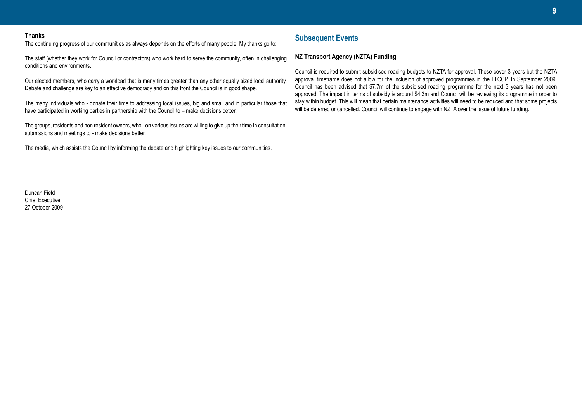#### **Thanks**

The continuing progress of our communities as always depends on the efforts of many people. My thanks go to:

The staff (whether they work for Council or contractors) who work hard to serve the community, often in challenging conditions and environments.

Our elected members, who carry a workload that is many times greater than any other equally sized local authority. Debate and challenge are key to an effective democracy and on this front the Council is in good shape.

The many individuals who - donate their time to addressing local issues, big and small and in particular those that have participated in working parties in partnership with the Council to – make decisions better.

The groups, residents and non resident owners, who - on various issues are willing to give up their time in consultation, submissions and meetings to - make decisions better.

The media, which assists the Council by informing the debate and highlighting key issues to our communities.

# **Subsequent Events**

## **NZ Transport Agency (NZTA) Funding**

Council is required to submit subsidised roading budgets to NZTA for approval. These cover 3 years but the NZTA approval timeframe does not allow for the inclusion of approved programmes in the LTCCP. In September 2009, Council has been advised that \$7.7m of the subsidised roading programme for the next 3 years has not been approved. The impact in terms of subsidy is around \$4.3m and Council will be reviewing its programme in order to stay within budget. This will mean that certain maintenance activities will need to be reduced and that some projects will be deferred or cancelled. Council will continue to engage with NZTA over the issue of future funding.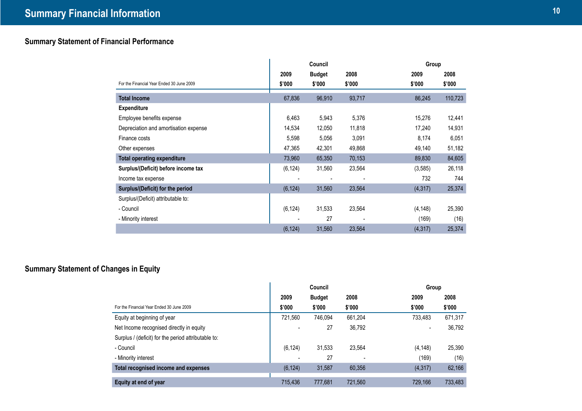# **Summary Statement of Financial Performance**

|                                           | Council  |               |        | Group    |         |
|-------------------------------------------|----------|---------------|--------|----------|---------|
|                                           | 2009     | <b>Budget</b> | 2008   | 2009     | 2008    |
| For the Financial Year Ended 30 June 2009 | \$'000   | \$'000        | \$'000 | \$'000   | \$'000  |
| <b>Total Income</b>                       | 67,836   | 96,910        | 93,717 | 86,245   | 110,723 |
| <b>Expenditure</b>                        |          |               |        |          |         |
| Employee benefits expense                 | 6,463    | 5,943         | 5,376  | 15,276   | 12,441  |
| Depreciation and amortisation expense     | 14,534   | 12,050        | 11,818 | 17,240   | 14,931  |
| Finance costs                             | 5,598    | 5,056         | 3,091  | 8,174    | 6,051   |
| Other expenses                            | 47,365   | 42,301        | 49,868 | 49,140   | 51,182  |
| <b>Total operating expenditure</b>        | 73,960   | 65,350        | 70,153 | 89,830   | 84,605  |
| Surplus/(Deficit) before income tax       | (6, 124) | 31,560        | 23,564 | (3, 585) | 26,118  |
| Income tax expense                        |          |               |        | 732      | 744     |
| Surplus/(Deficit) for the period          | (6, 124) | 31,560        | 23,564 | (4, 317) | 25,374  |
| Surplus/(Deficit) attributable to:        |          |               |        |          |         |
| - Council                                 | (6, 124) | 31,533        | 23,564 | (4, 148) | 25,390  |
| - Minority interest                       |          | 27            |        | (169)    | (16)    |
|                                           | (6, 124) | 31,560        | 23,564 | (4, 317) | 25,374  |

# **Summary Statement of Changes in Equity**

|                                                     | Council  |               | Group   |          |         |
|-----------------------------------------------------|----------|---------------|---------|----------|---------|
|                                                     | 2009     | <b>Budget</b> | 2008    | 2009     | 2008    |
| For the Financial Year Ended 30 June 2009           | \$'000   | \$'000        | \$'000  | \$'000   | \$'000  |
| Equity at beginning of year                         | 721,560  | 746.094       | 661,204 | 733.483  | 671,317 |
| Net Income recognised directly in equity            |          | 27            | 36,792  |          | 36,792  |
| Surplus / (deficit) for the period attributable to: |          |               |         |          |         |
| - Council                                           | (6, 124) | 31,533        | 23.564  | (4, 148) | 25,390  |
| - Minority interest                                 |          | 27            |         | (169)    | (16)    |
| Total recognised income and expenses                | (6, 124) | 31,587        | 60,356  | (4,317)  | 62,166  |
| Equity at end of year                               | 715.436  | 777.681       | 721,560 | 729.166  | 733,483 |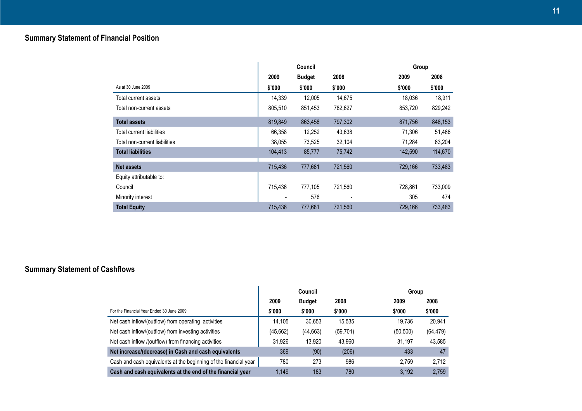|                               | Council |               | Group   |         |         |
|-------------------------------|---------|---------------|---------|---------|---------|
|                               | 2009    | <b>Budget</b> | 2008    | 2009    | 2008    |
| As at 30 June 2009            | \$'000  | \$'000        | \$'000  | \$'000  | \$'000  |
| Total current assets          | 14,339  | 12,005        | 14,675  | 18,036  | 18,911  |
| Total non-current assets      | 805,510 | 851,453       | 782,627 | 853,720 | 829,242 |
| <b>Total assets</b>           | 819,849 | 863,458       | 797,302 | 871,756 | 848,153 |
| Total current liabilities     | 66,358  | 12,252        | 43,638  | 71,306  | 51,466  |
| Total non-current liabilities | 38,055  | 73,525        | 32,104  | 71,284  | 63,204  |
| <b>Total liabilities</b>      | 104,413 | 85,777        | 75,742  | 142,590 | 114,670 |
| <b>Net assets</b>             | 715,436 | 777,681       | 721,560 | 729,166 | 733,483 |
| Equity attributable to:       |         |               |         |         |         |
| Council                       | 715,436 | 777,105       | 721,560 | 728,861 | 733,009 |
| Minority interest             |         | 576           |         | 305     | 474     |
| <b>Total Equity</b>           | 715,436 | 777,681       | 721,560 | 729,166 | 733,483 |

# **Summary Statement of Cashflows**

|                                                                  | Council   |               |           |           | Group     |  |
|------------------------------------------------------------------|-----------|---------------|-----------|-----------|-----------|--|
|                                                                  | 2009      | <b>Budget</b> | 2008      | 2009      | 2008      |  |
| For the Financial Year Ended 30 June 2009                        | \$'000    | \$'000        | \$'000    | \$'000    | \$'000    |  |
| Net cash inflow/(outflow) from operating activities              | 14,105    | 30,653        | 15,535    | 19.736    | 20,941    |  |
| Net cash inflow/(outflow) from investing activities              | (45, 662) | (44,663)      | (59, 701) | (50, 500) | (64, 479) |  |
| Net cash inflow /(outflow) from financing activities             | 31,926    | 13.920        | 43,960    | 31.197    | 43,585    |  |
| Net increase/(decrease) in Cash and cash equivalents             | 369       | (90)          | (206)     | 433       | 47        |  |
| Cash and cash equivalents at the beginning of the financial year | 780       | 273           | 986       | 2.759     | 2,712     |  |
| Cash and cash equivalents at the end of the financial year       | 1.149     | 183           | 780       | 3.192     | 2.759     |  |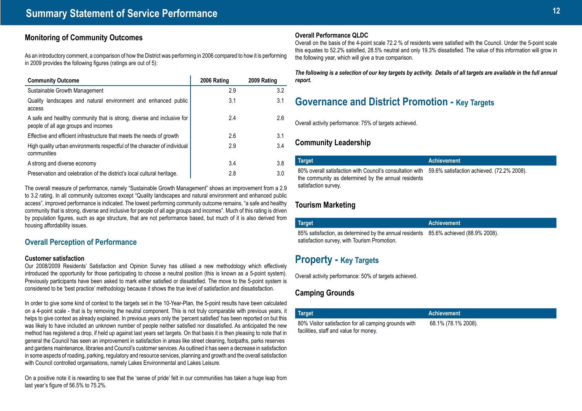# **Monitoring of Community Outcomes**

As an introductory comment, a comparison of how the District was performing in 2006 compared to how it is performing in 2009 provides the following figures (ratings are out of 5):

| <b>Community Outcome</b>                                                                                       | 2006 Rating | 2009 Rating |
|----------------------------------------------------------------------------------------------------------------|-------------|-------------|
| Sustainable Growth Management                                                                                  | 2.9         | 3.2         |
| Quality landscapes and natural environment and enhanced public<br>access                                       | 3.1         | 3.1         |
| A safe and healthy community that is strong, diverse and inclusive for<br>people of all age groups and incomes | 2.4         | 2.6         |
| Effective and efficient infrastructure that meets the needs of growth                                          | 2.6         | 3.1         |
| High quality urban environments respectful of the character of individual<br>communities                       | 2.9         | 3.4         |
| A strong and diverse economy                                                                                   | 3.4         | 3.8         |
| Preservation and celebration of the district's local cultural heritage.                                        | 2.8         | 3.0         |

The overall measure of performance, namely "Sustainable Growth Management" shows an improvement from a 2.9 to 3.2 rating. In all community outcomes except "Quality landscapes and natural environment and enhanced public access", improved performance is indicated. The lowest performing community outcome remains, "a safe and healthy community that is strong, diverse and inclusive for people of all age groups and incomes". Much of this rating is driven by population figures, such as age structure, that are not performance based, but much of it is also derived from housing affordability issues.

# **Overall Perception of Performance**

#### **Customer satisfaction**

Our 2008/2009 Residents' Satisfaction and Opinion Survey has utilised a new methodology which effectively introduced the opportunity for those participating to choose a neutral position (this is known as a 5-point system). Previously participants have been asked to mark either satisfied or dissatisfied. The move to the 5-point system is considered to be 'best practice' methodology because it shows the true level of satisfaction and dissatisfaction.

In order to give some kind of context to the targets set in the 10-Year-Plan, the 5-point results have been calculated on a 4-point scale - that is by removing the neutral component. This is not truly comparable with previous years, it helps to give context as already explained. In previous years only the 'percent satisfied' has been reported on but this was likely to have included an unknown number of people neither satisfied nor dissatisfied. As anticipated the new method has registered a drop, if held up against last years set targets. On that basis it is then pleasing to note that in general the Council has seen an improvement in satisfaction in areas like street cleaning, footpaths, parks reserves and gardens maintenance, libraries and Council's customer services. As outlined it has seen a decrease in satisfaction in some aspects of roading, parking, regulatory and resource services, planning and growth and the overall satisfaction with Council controlled organisations, namely Lakes Environmental and Lakes Leisure.

On a positive note it is rewarding to see that the 'sense of pride' felt in our communities has taken a huge leap from last year's figure of 56.5% to 75.2%.

#### **Overall Performance QLDC**

Overall on the basis of the 4-point scale 72.2 % of residents were satisfied with the Council. Under the 5-point scale this equates to 52.2% satisfied, 28.5% neutral and only 19.3% dissatisfied. The value of this information will grow in the following year, which will give a true comparison.

*The following is a selection of our key targets by activity. Details of all targets are available in the full annual report.*

# **Governance and District Promotion - Key Targets**

Overall activity performance: 75% of targets achieved.

# **Community Leadership**

| Target                                                                                                                                                                              | <b>Achievement</b> |
|-------------------------------------------------------------------------------------------------------------------------------------------------------------------------------------|--------------------|
| .80% overall satisfaction with Council's consultation with 59.6% satisfaction achieved. (72.2% 2008)<br>the community as determined by the annual residents<br>satisfaction survey. |                    |

# **Tourism Marketing**

| Target                                                                                                                               | <b>Achievement</b> |
|--------------------------------------------------------------------------------------------------------------------------------------|--------------------|
| 85% satisfaction, as determined by the annual residents 85.6% achieved (88.9% 2008).<br>satisfaction survey, with Tourism Promotion. |                    |

# **Property - Key Targets**

facilities, staff and value for money.

Overall activity performance: 50% of targets achieved.

# **Camping Grounds**

| Target                                                | Achievement         |
|-------------------------------------------------------|---------------------|
| 80% Visitor satisfaction for all camping grounds with | 68.1% (78.1% 2008). |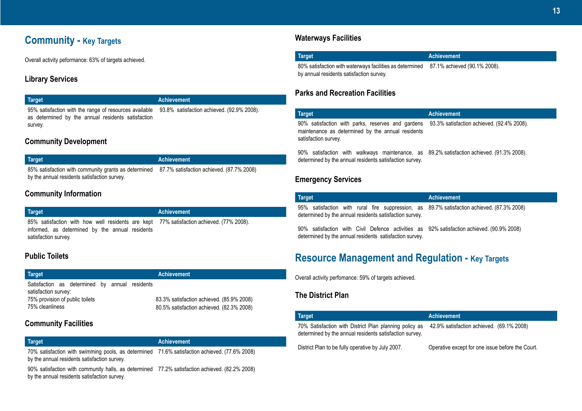# **Community - Key Targets**

Overall activity peformance: 63% of targets achieved.

# **Library Services**

## **Target Achievement**

95% satisfaction with the range of resources available 93.8% satisfaction achieved. (92.9% 2008). as determined by the annual residents satisfaction survey.

# **Community Development**

| Target                                                                                         | Achievement |
|------------------------------------------------------------------------------------------------|-------------|
| 85% satisfaction with community grants as determined 87.7% satisfaction achieved. (87.7% 2008) |             |
| by the annual residents satisfaction survey.                                                   |             |

# **Community Information**

| Target                                                                                                                                                              | <b>Achievement</b> |
|---------------------------------------------------------------------------------------------------------------------------------------------------------------------|--------------------|
| 85% satisfaction with how well residents are kept 77% satisfaction achieved. (77% 2008).<br>informed, as determined by the annual residents<br>satisfaction survey. |                    |

# **Public Toilets**

| Target                                                                                                                       | <b>Achievement</b> |  |  |                                                                                        |  |
|------------------------------------------------------------------------------------------------------------------------------|--------------------|--|--|----------------------------------------------------------------------------------------|--|
| Satisfaction as determined by annual residents<br>satisfaction survey:<br>75% provision of public toilets<br>75% cleanliness |                    |  |  | 83.3% satisfaction achieved. (85.9% 2008)<br>80.5% satisfaction achieved. (82.3% 2008) |  |

# **Community Facilities**

# **Target Achievement**

70% satisfaction with swimming pools, as determined 71.6% satisfaction achieved. (77.6% 2008) by the annual residents satisfaction survey.

90% satisfaction with community halls, as determined 77.2% satisfaction achieved. (82.2% 2008) by the annual residents satisfaction survey.

# **Waterways Facilities**

| Target                                                                                | Achievement |
|---------------------------------------------------------------------------------------|-------------|
| 80% satisfaction with waterways facilities as determined 87.1% achieved (90.1% 2008). |             |
| by annual residents satisfaction survey.                                              |             |

# **Parks and Recreation Facilities**

| <b>Target</b>                                                                                                                                        | <b>Achievement</b>                         |
|------------------------------------------------------------------------------------------------------------------------------------------------------|--------------------------------------------|
| 90% satisfaction with parks, reserves and gardens<br>maintenance as determined by the annual residents<br>satisfaction survey.                       | 93.3% satisfaction achieved. (92.4% 2008). |
| 90% satisfaction with walkways maintenance, as 89.2% satisfaction achieved. (91.3% 2008).<br>determined by the annual residents satisfaction survey. |                                            |

# **Emergency Services**

| <b>Target</b>                                                                                                                                         | <b>Achievement</b> |
|-------------------------------------------------------------------------------------------------------------------------------------------------------|--------------------|
| 95% satisfaction with rural fire suppression, as 89.7% satisfaction achieved. (87.3% 2008)<br>determined by the annual residents satisfaction survey. |                    |
| 90% satisfaction with Civil Defence activities as 92% satisfaction achieved. (90.9% 2008)<br>determined by the annual residents satisfaction survey.  |                    |

# **Resource Management and Regulation - Key Targets**

Overall activity perfomance: 59% of targets achieved.

# **The District Plan**

| Target                                                                                                            | <b>Achievement</b>                               |
|-------------------------------------------------------------------------------------------------------------------|--------------------------------------------------|
| 70% Satisfaction with District Plan planning policy as<br>determined by the annual residents satisfaction survey. | 42.9% satisfaction achieved. (69.1% 2008)        |
| District Plan to be fully operative by July 2007.                                                                 | Operative except for one issue before the Court. |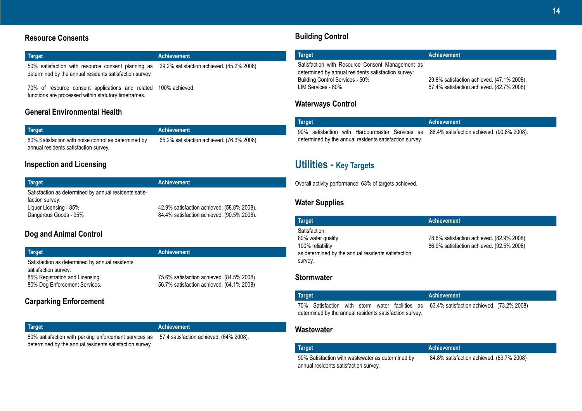# **Resource Consents**

| Target                                                                                                                                                  | <b>Achievement</b> |
|---------------------------------------------------------------------------------------------------------------------------------------------------------|--------------------|
| 50% satisfaction with resource consent planning as 29.2% satisfaction achieved. (45.2% 2008)<br>determined by the annual residents satisfaction survey. |                    |

70% of resource consent applications and related 100% achieved. functions are processed within statutory timeframes.

# **General Environmental Health**

| Target                                               | <b>Achievement</b>                        |
|------------------------------------------------------|-------------------------------------------|
| 80% Satisfaction with noise control as determined by | 65.2% satisfaction achieved. (76.3% 2008) |
| annual residents satisfaction survey.                |                                           |

# **Inspection and Licensing**

| Target                                                | <b>Achievement</b>                         |
|-------------------------------------------------------|--------------------------------------------|
| Satisfaction as determined by annual residents satis- |                                            |
| faction survey:                                       |                                            |
| Liquor Licensing - 85%                                | 42.9% satisfaction achieved. (58.8% 2008). |
| Dangerous Goods - 95%                                 | 84.4% satisfaction achieved. (90.5% 2008). |

# **Dog and Animal Control**

| Target                                                  | <b>Achievement</b>                        |
|---------------------------------------------------------|-------------------------------------------|
| Satisfaction as determined by annual residents          |                                           |
| satisfaction survey:<br>85% Registration and Licensing. | 75.6% satisfaction achieved. (84.5% 2008) |
| 80% Dog Enforcement Services.                           | 56.7% satisfaction achieved. (64.1% 2008) |
|                                                         |                                           |

# **Carparking Enforcement**

**Target Achievement** 60% satisfaction with parking enforcement services as 57.4 satisfaction achieved. (64% 2008). determined by the annual residents satisfaction survey.

# **Building Control**

| Target                                                                                                                                                           | <b>Achievement</b>                                                                       |
|------------------------------------------------------------------------------------------------------------------------------------------------------------------|------------------------------------------------------------------------------------------|
| Satisfaction with Resource Consent Management as<br>determined by annual residents satisfaction survey:<br>Building Control Services - 50%<br>LIM Services - 80% | 29.8% satisfaction achieved. (47.1% 2008).<br>67.4% satisfaction achieved. (82.7% 2008). |

# **Waterways Control**

| <b>Target</b>                                           |  |  |  | Achievement |  |                                                                                            |
|---------------------------------------------------------|--|--|--|-------------|--|--------------------------------------------------------------------------------------------|
|                                                         |  |  |  |             |  | 90% satisfaction with Harbourmaster Services as 86.4% satisfaction achieved. (90.8% 2008). |
| determined by the annual residents satisfaction survey. |  |  |  |             |  |                                                                                            |

# **Utilities - Key Targets**

Overall activity performance: 63% of targets achieved.

# **Water Supplies**

| <b>Target</b>                                                                                                           | <b>Achievement</b>                                                                     |
|-------------------------------------------------------------------------------------------------------------------------|----------------------------------------------------------------------------------------|
| Satisfaction:<br>80% water quality<br>100% reliability<br>as determined by the annual residents satisfaction<br>survey. | 78.6% satisfaction achieved. (82.9% 2008)<br>86.9% satisfaction achieved. (92.5% 2008) |

# **Stormwater**

| Target                                                  |  |  |  |  |  | Achievement |                                                                                           |  |  |
|---------------------------------------------------------|--|--|--|--|--|-------------|-------------------------------------------------------------------------------------------|--|--|
|                                                         |  |  |  |  |  |             | 70% Satisfaction with storm water facilities as 63.4% satisfaction achieved. (73.2% 2008) |  |  |
| determined by the annual residents satisfaction survey. |  |  |  |  |  |             |                                                                                           |  |  |

# **Wastewater**

| <b>Target</b> |  |  |  | <b>Achievement</b> |  |
|---------------|--|--|--|--------------------|--|
|               |  |  |  | - - - - -          |  |

90% Satisfaction with wastewater as determined by annual residents satisfaction survey.

84.8% satisfaction achieved. (89.7% 2008)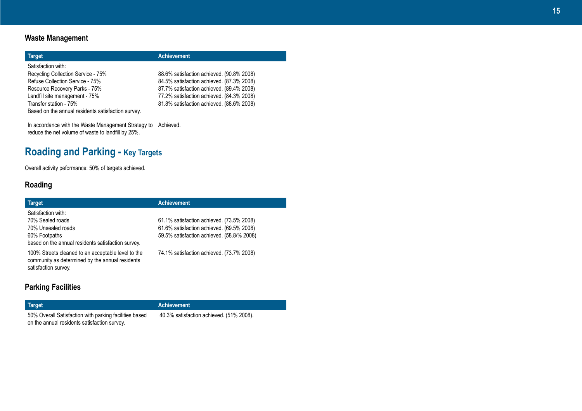# **Waste Management**

| <b>Target</b>                                                                                                                                                  | <b>Achievement</b>                                                                                                                                                               |
|----------------------------------------------------------------------------------------------------------------------------------------------------------------|----------------------------------------------------------------------------------------------------------------------------------------------------------------------------------|
| Satisfaction with:<br>Recycling Collection Service - 75%<br>Refuse Collection Service - 75%<br>Resource Recovery Parks - 75%<br>Landfill site management - 75% | 88.6% satisfaction achieved. (90.8% 2008)<br>84.5% satisfaction achieved. (87.3% 2008)<br>87.7% satisfaction achieved. (89.4% 2008)<br>77.2% satisfaction achieved. (84.3% 2008) |
| Transfer station - 75%<br>Based on the annual residents satisfaction survey.                                                                                   | 81.8% satisfaction achieved. (88.6% 2008)                                                                                                                                        |

In accordance with the Waste Management Strategy to reduce the net volume of waste to landfill by 25%. Achieved.

# **Roading and Parking - Key Targets**

Overall activity peformance: 50% of targets achieved.

# **Roading**

| <b>Target</b>                                                                                                                 | <b>Achievement</b>                                                                                                                   |
|-------------------------------------------------------------------------------------------------------------------------------|--------------------------------------------------------------------------------------------------------------------------------------|
| Satisfaction with:<br>70% Sealed roads<br>70% Unsealed roads<br>60% Footpaths                                                 | 61.1% satisfaction achieved. (73.5% 2008)<br>61.6% satisfaction achieved. (69.5% 2008)<br>59.5% satisfaction achieved. (58.8/% 2008) |
| based on the annual residents satisfaction survey.                                                                            |                                                                                                                                      |
| 100% Streets cleaned to an acceptable level to the<br>community as determined by the annual residents<br>satisfaction survey. | 74.1% satisfaction achieved. (73.7% 2008)                                                                                            |
| .                                                                                                                             |                                                                                                                                      |

# **Parking Facilities**

50% Overall Satisfaction with parking facilities based on the annual residents satisfaction survey.

**Target Achievement**

40.3% satisfaction achieved. (51% 2008).